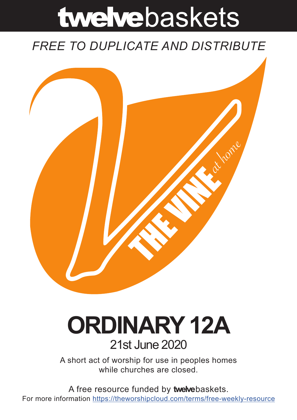# twelvebaskets

### *FREE TO DUPLICATE AND DISTRIBUTE*



## **ORDINARY 12A** 21st June 2020

A short act of worship for use in peoples homes while churches are closed.

A free resource funded by **twelve**baskets. For more information https://theworshipcloud.com/terms/free-weekly-resource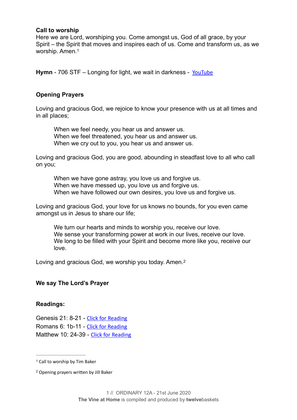#### **Call to worship**

<span id="page-1-2"></span>Here we are Lord, worshiping you. Come amongst us, God of all grace, by your Spirit – the Spirit that moves and inspires each of us. Come and transform us, as we worship. Amen[.1](#page-1-0)

**Hymn** - 706 STF – Longing for light, we wait in darkness - [YouTube](https://www.youtube.com/watch?v=lv-geQAh5n4)

#### **Opening Prayers**

Loving and gracious God, we rejoice to know your presence with us at all times and in all places;

When we feel needy, you hear us and answer us. When we feel threatened, you hear us and answer us. When we cry out to you, you hear us and answer us.

Loving and gracious God, you are good, abounding in steadfast love to all who call on you;

When we have gone astray, you love us and forgive us. When we have messed up, you love us and forgive us. When we have followed our own desires, you love us and forgive us.

Loving and gracious God, your love for us knows no bounds, for you even came amongst us in Jesus to share our life;

<span id="page-1-3"></span>We turn our hearts and minds to worship you, receive our love. We sense your transforming power at work in our lives, receive our love. We long to be filled with your Spirit and become more like you, receive our love.

Loving and gracious God, we worship you today. Amen.<sup>2</sup>

#### **We say The Lord's Prayer**

#### **Readings:**

Genesis 21: 8-21 - [Click for Reading](https://www.biblegateway.com/passage/?search=Genesis+21:+8-21&version=NRSV) Romans 6: 1b-11 - [Click for Reading](https://www.biblegateway.com/passage/?search=Romans+6:+1b-11&version=NRSV) Matthew 10: 24-39 - [Click for Reading](https://www.biblegateway.com/passage/?search=Matthew+10:+24-39&version=NRSV)

<span id="page-1-0"></span><sup>&</sup>lt;sup>[1](#page-1-2)</sup> Call to worship by Tim Baker

<span id="page-1-1"></span><sup>&</sup>lt;sup>[2](#page-1-3)</sup> Opening prayers written by Jill Baker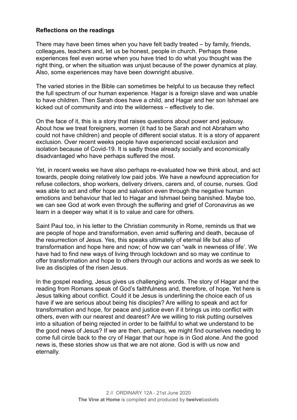#### **Reflections on the readings**

There may have been times when you have felt badly treated – by family, friends, colleagues, teachers and, let us be honest, people in church. Perhaps these experiences feel even worse when you have tried to do what you thought was the right thing, or when the situation was unjust because of the power dynamics at play. Also, some experiences may have been downright abusive.

The varied stories in the Bible can sometimes be helpful to us because they reflect the full spectrum of our human experience. Hagar is a foreign slave and was unable to have children. Then Sarah does have a child, and Hagar and her son Ishmael are kicked out of community and into the wilderness – effectively to die.

On the face of it, this is a story that raises questions about power and jealousy. About how we treat foreigners, women (it had to be Sarah and not Abraham who could not have children) and people of different social status. It is a story of apparent exclusion. Over recent weeks people have experienced social exclusion and isolation because of Covid-19. It is sadly those already socially and economically disadvantaged who have perhaps suffered the most.

Yet, in recent weeks we have also perhaps re-evaluated how we think about, and act towards, people doing relatively low paid jobs. We have a newfound appreciation for refuse collectors, shop workers, delivery drivers, carers and, of course, nurses. God was able to act and offer hope and salvation even through the negative human emotions and behaviour that led to Hagar and Ishmael being banished. Maybe too, we can see God at work even through the suffering and grief of Coronavirus as we learn in a deeper way what it is to value and care for others.

Saint Paul too, in his letter to the Christian community in Rome, reminds us that we are people of hope and transformation, even amid suffering and death, because of the resurrection of Jesus. Yes, this speaks ultimately of eternal life but also of transformation and hope here and now; of how we can "walk in newness of life'. We have had to find new ways of living through lockdown and so may we continue to offer transformation and hope to others through our actions and words as we seek to live as disciples of the risen Jesus.

In the gospel reading, Jesus gives us challenging words. The story of Hagar and the reading from Romans speak of God's faithfulness and, therefore, of hope. Yet here is Jesus talking about conflict. Could it be Jesus is underlining the choice each of us have if we are serious about being his disciples? Are willing to speak and act for transformation and hope, for peace and justice even if it brings us into conflict with others, even with our nearest and dearest? Are we willing to risk putting ourselves into a situation of being rejected in order to be faithful to what we understand to be the good news of Jesus? If we are then, perhaps, we might find ourselves needing to come full circle back to the cry of Hagar that our hope is in God alone. And the good news is, these stories show us that we are not alone. God is with us now and eternally.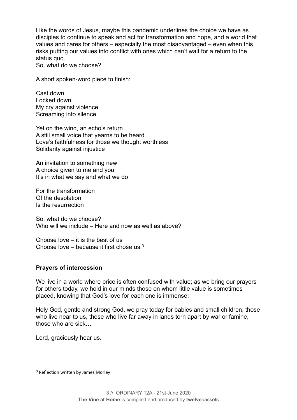Like the words of Jesus, maybe this pandemic underlines the choice we have as disciples to continue to speak and act for transformation and hope, and a world that values and cares for others – especially the most disadvantaged – even when this risks putting our values into conflict with ones which can't wait for a return to the status quo.

So, what do we choose?

A short spoken-word piece to finish:

Cast down Locked down My cry against violence Screaming into silence

Yet on the wind, an echo's return A still small voice that yearns to be heard Love's faithfulness for those we thought worthless Solidarity against injustice

An invitation to something new A choice given to me and you It's in what we say and what we do

For the transformation Of the desolation Is the resurrection

So, what do we choose? Who will we include – Here and now as well as above?

<span id="page-3-1"></span>Choose love – it is the best of us Choose love – because it first chose us[.3](#page-3-0)

#### **Prayers of intercession**

We live in a world where price is often confused with value; as we bring our prayers for others today, we hold in our minds those on whom little value is sometimes placed, knowing that God's love for each one is immense:

Holy God, gentle and strong God, we pray today for babies and small children; those who live near to us, those who live far away in lands torn apart by war or famine, those who are sick…

Lord, graciously hear us.

<span id="page-3-0"></span><sup>&</sup>lt;sup>[3](#page-3-1)</sup> Reflection written by James Morley